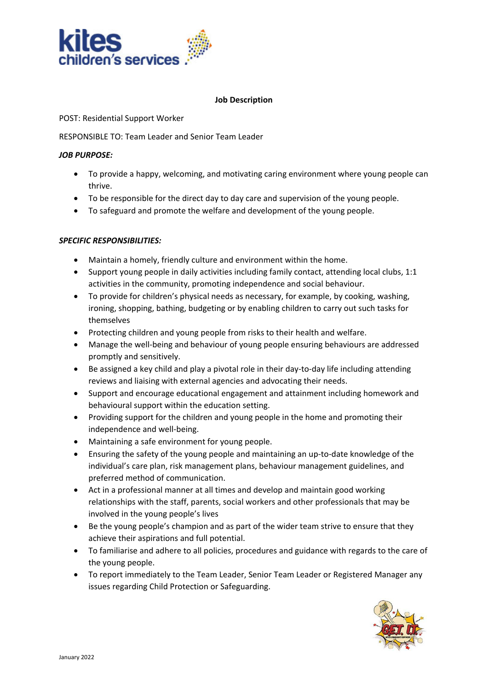

#### **Job Description**

POST: Residential Support Worker

RESPONSIBLE TO: Team Leader and Senior Team Leader

# *JOB PURPOSE:*

- To provide a happy, welcoming, and motivating caring environment where young people can thrive.
- To be responsible for the direct day to day care and supervision of the young people.
- To safeguard and promote the welfare and development of the young people.

# *SPECIFIC RESPONSIBILITIES:*

- Maintain a homely, friendly culture and environment within the home.
- Support young people in daily activities including family contact, attending local clubs, 1:1 activities in the community, promoting independence and social behaviour.
- To provide for children's physical needs as necessary, for example, by cooking, washing, ironing, shopping, bathing, budgeting or by enabling children to carry out such tasks for themselves
- Protecting children and young people from risks to their health and welfare.
- Manage the well-being and behaviour of young people ensuring behaviours are addressed promptly and sensitively.
- Be assigned a key child and play a pivotal role in their day-to-day life including attending reviews and liaising with external agencies and advocating their needs.
- Support and encourage educational engagement and attainment including homework and behavioural support within the education setting.
- Providing support for the children and young people in the home and promoting their independence and well-being.
- Maintaining a safe environment for young people.
- Ensuring the safety of the young people and maintaining an up-to-date knowledge of the individual's care plan, risk management plans, behaviour management guidelines, and preferred method of communication.
- Act in a professional manner at all times and develop and maintain good working relationships with the staff, parents, social workers and other professionals that may be involved in the young people's lives
- Be the young people's champion and as part of the wider team strive to ensure that they achieve their aspirations and full potential.
- To familiarise and adhere to all policies, procedures and guidance with regards to the care of the young people.
- To report immediately to the Team Leader, Senior Team Leader or Registered Manager any issues regarding Child Protection or Safeguarding.

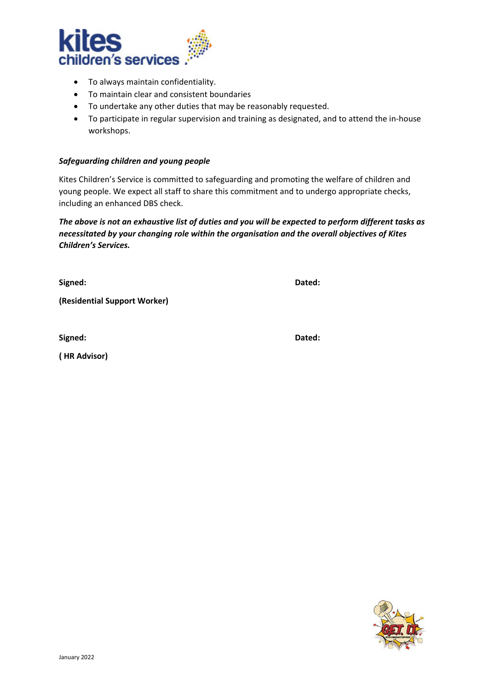

- To always maintain confidentiality.
- To maintain clear and consistent boundaries
- To undertake any other duties that may be reasonably requested.
- To participate in regular supervision and training as designated, and to attend the in-house workshops.

#### *Safeguarding children and young people*

Kites Children's Service is committed to safeguarding and promoting the welfare of children and young people. We expect all staff to share this commitment and to undergo appropriate checks, including an enhanced DBS check.

*The above is not an exhaustive list of duties and you will be expected to perform different tasks as necessitated by your changing role within the organisation and the overall objectives of Kites Children's Services.*

**Signed: Dated:**

**(Residential Support Worker)** 

**Signed: Dated:**

**( HR Advisor)**